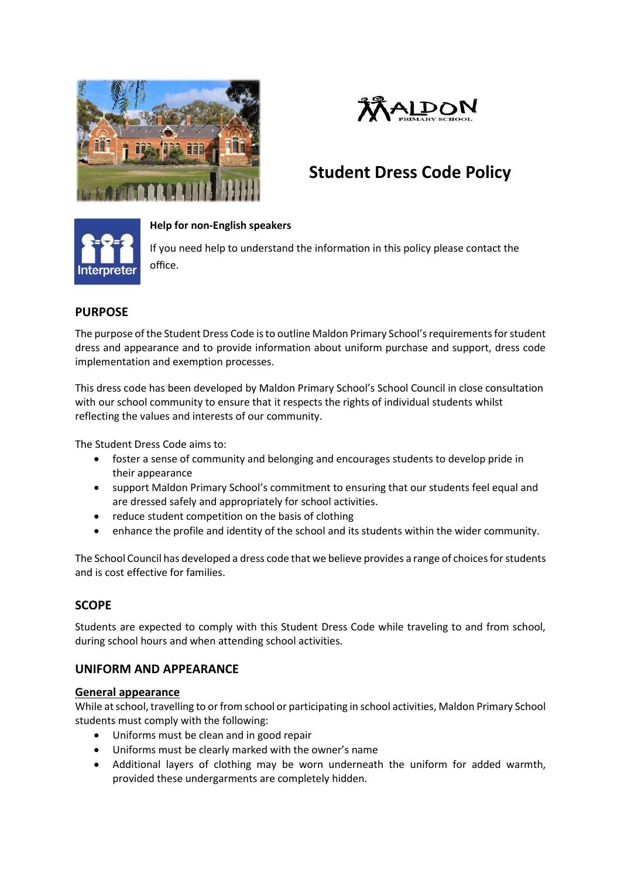



# **Student Dress Code Policy**



#### **Help for non-English speakers**

If you need help to understand the information in this policy please contact the office.

# **PURPOSE**

The purpose of the Student Dress Code is to outline Maldon Primary School's requirements for student dress and appearance and to provide information about uniform purchase and support, dress code implementation and exemption processes.

This dress code has been developed by Maldon Primary School's School Council in close consultation with our school community to ensure that it respects the rights of individual students whilst reflecting the values and interests of our community.

The Student Dress Code aims to:

- foster a sense of community and belonging and encourages students to develop pride in their appearance
- support Maldon Primary School's commitment to ensuring that our students feel equal and are dressed safely and appropriately for school activities.
- reduce student competition on the basis of clothing
- enhance the profile and identity of the school and its students within the wider community.

The School Council has developed a dress code that we believe provides a range of choices for students and is cost effective for families.

# **SCOPE**

Students are expected to comply with this Student Dress Code while traveling to and from school, during school hours and when attending school activities.

# **UNIFORM AND APPEARANCE**

#### **General appearance**

While at school, travelling to or from school or participating in school activities, Maldon Primary School students must comply with the following:

- Uniforms must be clean and in good repair
- Uniforms must be clearly marked with the owner's name
- Additional layers of clothing may be worn underneath the uniform for added warmth, provided these undergarments are completely hidden.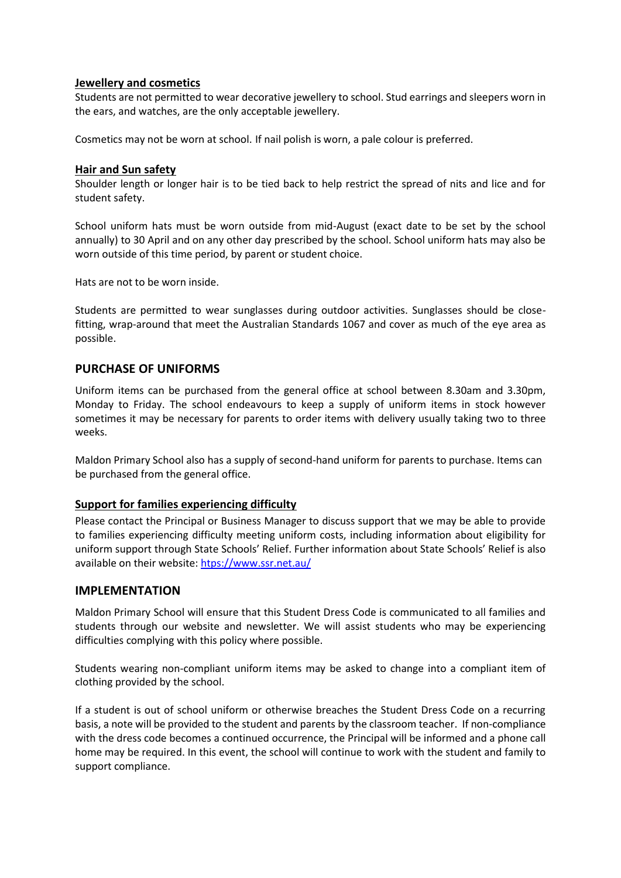#### **Jewellery and cosmetics**

Students are not permitted to wear decorative jewellery to school. Stud earrings and sleepers worn in the ears, and watches, are the only acceptable jewellery.

Cosmetics may not be worn at school. If nail polish is worn, a pale colour is preferred.

#### **Hair and Sun safety**

Shoulder length or longer hair is to be tied back to help restrict the spread of nits and lice and for student safety.

School uniform hats must be worn outside from mid-August (exact date to be set by the school annually) to 30 April and on any other day prescribed by the school. School uniform hats may also be worn outside of this time period, by parent or student choice.

Hats are not to be worn inside.

Students are permitted to wear sunglasses during outdoor activities. Sunglasses should be closefitting, wrap-around that meet the Australian Standards 1067 and cover as much of the eye area as possible.

#### **PURCHASE OF UNIFORMS**

Uniform items can be purchased from the general office at school between 8.30am and 3.30pm, Monday to Friday. The school endeavours to keep a supply of uniform items in stock however sometimes it may be necessary for parents to order items with delivery usually taking two to three weeks.

Maldon Primary School also has a supply of second-hand uniform for parents to purchase. Items can be purchased from the general office.

#### **Support for families experiencing difficulty**

Please contact the Principal or Business Manager to discuss support that we may be able to provide to families experiencing difficulty meeting uniform costs, including information about eligibility for uniform support through State Schools' Relief. Further information about State Schools' Relief is also available on their website[: htps://www.ssr.net.au/](https://www.ssr.net.au/)

#### **IMPLEMENTATION**

Maldon Primary School will ensure that this Student Dress Code is communicated to all families and students through our website and newsletter. We will assist students who may be experiencing difficulties complying with this policy where possible.

Students wearing non-compliant uniform items may be asked to change into a compliant item of clothing provided by the school.

If a student is out of school uniform or otherwise breaches the Student Dress Code on a recurring basis, a note will be provided to the student and parents by the classroom teacher. If non-compliance with the dress code becomes a continued occurrence, the Principal will be informed and a phone call home may be required. In this event, the school will continue to work with the student and family to support compliance.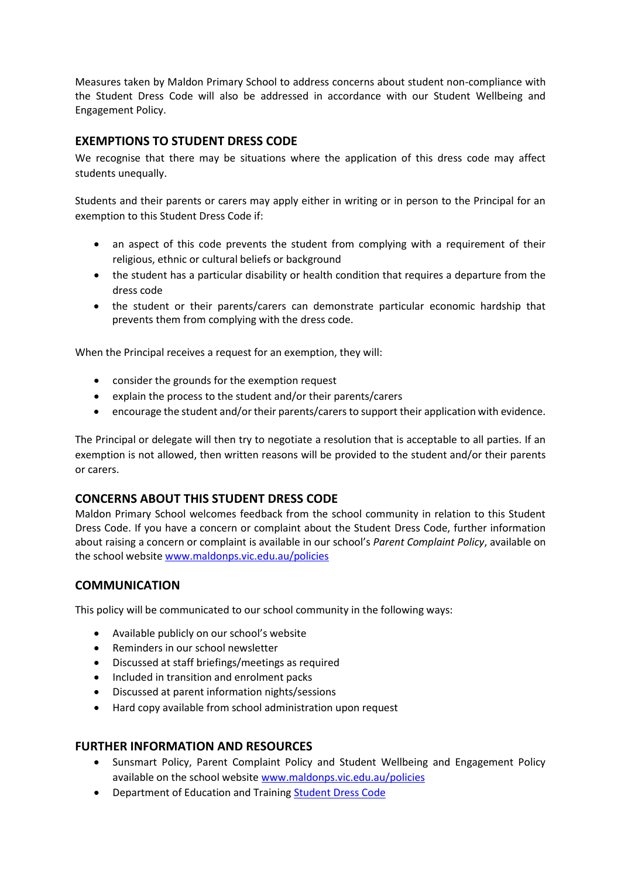Measures taken by Maldon Primary School to address concerns about student non-compliance with the Student Dress Code will also be addressed in accordance with our Student Wellbeing and Engagement Policy.

# **EXEMPTIONS TO STUDENT DRESS CODE**

We recognise that there may be situations where the application of this dress code may affect students unequally.

Students and their parents or carers may apply either in writing or in person to the Principal for an exemption to this Student Dress Code if:

- an aspect of this code prevents the student from complying with a requirement of their religious, ethnic or cultural beliefs or background
- the student has a particular disability or health condition that requires a departure from the dress code
- the student or their parents/carers can demonstrate particular economic hardship that prevents them from complying with the dress code.

When the Principal receives a request for an exemption, they will:

- consider the grounds for the exemption request
- explain the process to the student and/or their parents/carers
- encourage the student and/or their parents/carers to support their application with evidence.

The Principal or delegate will then try to negotiate a resolution that is acceptable to all parties. If an exemption is not allowed, then written reasons will be provided to the student and/or their parents or carers.

#### **CONCERNS ABOUT THIS STUDENT DRESS CODE**

Maldon Primary School welcomes feedback from the school community in relation to this Student Dress Code. If you have a concern or complaint about the Student Dress Code, further information about raising a concern or complaint is available in our school's *Parent Complaint Policy*, available on the school website [www.maldonps.vic.edu.au/](file://///1254AFS01/Users/USERS/Policies/Current%20policies/www.maldonps.vic.edu.au%20)policies

# **COMMUNICATION**

This policy will be communicated to our school community in the following ways:

- Available publicly on our school's website
- Reminders in our school newsletter
- Discussed at staff briefings/meetings as required
- Included in transition and enrolment packs
- Discussed at parent information nights/sessions
- Hard copy available from school administration upon request

#### **FURTHER INFORMATION AND RESOURCES**

- Sunsmart Policy, Parent Complaint Policy and Student Wellbeing and Engagement Policy available on the school websit[e www.maldonps.vic.edu.au/](file://///1254AFS01/Users/USERS/Policies/Policies%202020/www.maldonps.vic.edu.au%20)policies
- Department of Education and Training [Student Dress Code](https://www2.education.vic.gov.au/pal/student-dress-code/policy)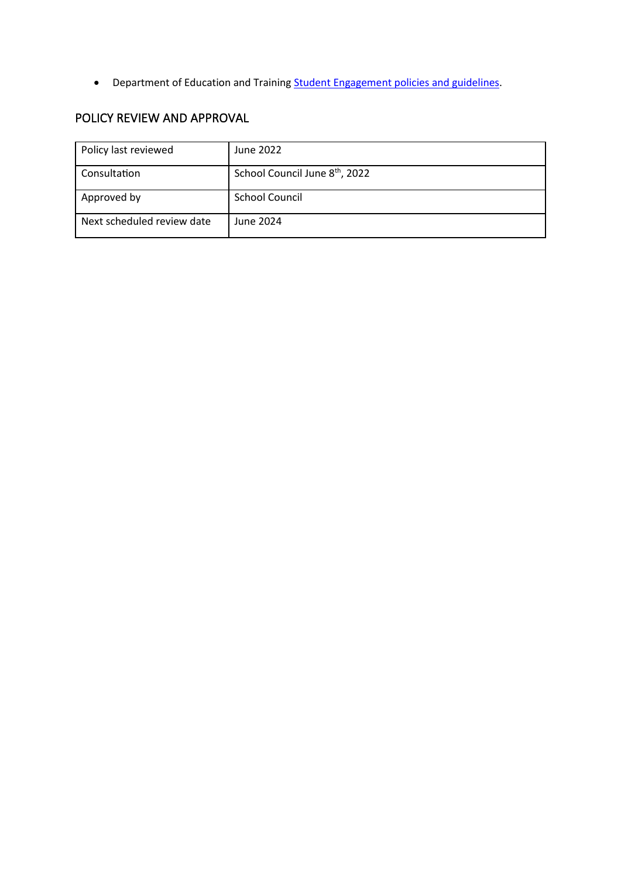• Department of Education and Training **Student Engagement policies and guidelines**.

# POLICY REVIEW AND APPROVAL

| Policy last reviewed       | June 2022                                  |
|----------------------------|--------------------------------------------|
| Consultation               | School Council June 8 <sup>th</sup> , 2022 |
| Approved by                | <b>School Council</b>                      |
| Next scheduled review date | June 2024                                  |